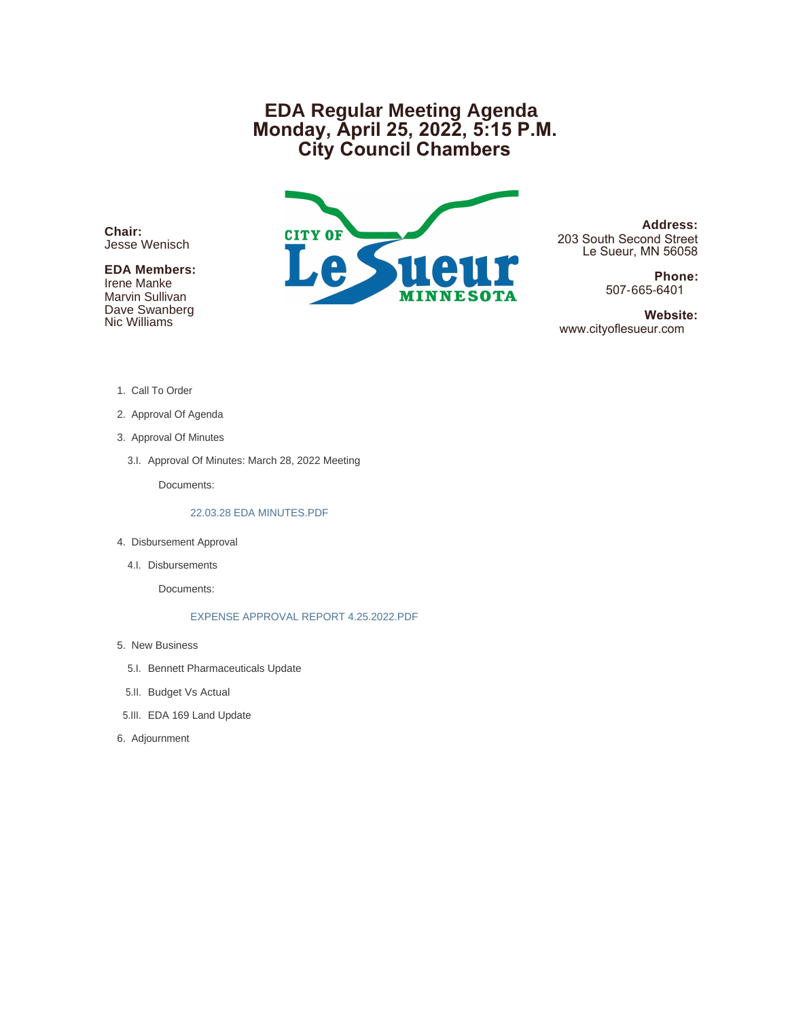# **EDA Regular Meeting Agenda Monday, April 25, 2022, 5:15 P.M. City Council Chambers**

**Chair:** Jesse Wenisch

## **EDA Members:**

Irene Manke Marvin Sullivan Dave Swanberg Nic Williams



**Address:** 203 South Second Street Le Sueur, MN 56058

> **Phone:** 507-665-6401

 **Website:** www.cityoflesueur.com

- 1. Call To Order
- 2. Approval Of Agenda
- 3. Approval Of Minutes
	- 3.I. Approval Of Minutes: March 28, 2022 Meeting

Documents:

#### 22.03.28 EDA MINUTES.PDF

- 4. Disbursement Approval
	- 4.I. Disbursements

Documents:

#### EXPENSE APPROVAL REPORT 4.25.2022.PDF

- 5. New Business
	- 5.I. Bennett Pharmaceuticals Update
- 5.II. Budget Vs Actual
- EDA 169 Land Update 5.III.
- 6. Adjournment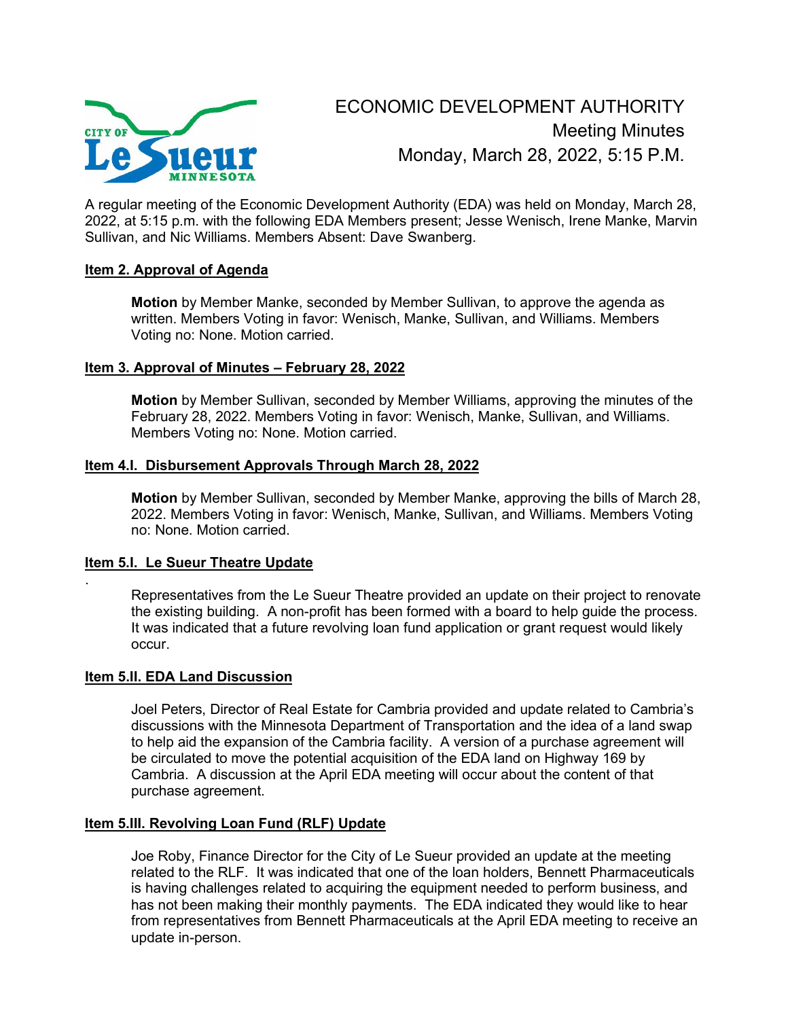

A regular meeting of the Economic Development Authority (EDA) was held on Monday, March 28, 2022, at 5:15 p.m. with the following EDA Members present; Jesse Wenisch, Irene Manke, Marvin Sullivan, and Nic Williams. Members Absent: Dave Swanberg.

## **Item 2. Approval of Agenda**

**Motion** by Member Manke, seconded by Member Sullivan, to approve the agenda as written. Members Voting in favor: Wenisch, Manke, Sullivan, and Williams. Members Voting no: None. Motion carried.

## **Item 3. Approval of Minutes – February 28, 2022**

**Motion** by Member Sullivan, seconded by Member Williams, approving the minutes of the February 28, 2022. Members Voting in favor: Wenisch, Manke, Sullivan, and Williams. Members Voting no: None. Motion carried.

## **Item 4.I. Disbursement Approvals Through March 28, 2022**

**Motion** by Member Sullivan, seconded by Member Manke, approving the bills of March 28, 2022. Members Voting in favor: Wenisch, Manke, Sullivan, and Williams. Members Voting no: None. Motion carried.

## **Item 5.I. Le Sueur Theatre Update**

.

Representatives from the Le Sueur Theatre provided an update on their project to renovate the existing building. A non-profit has been formed with a board to help guide the process. It was indicated that a future revolving loan fund application or grant request would likely occur.

#### **Item 5.II. EDA Land Discussion**

Joel Peters, Director of Real Estate for Cambria provided and update related to Cambria's discussions with the Minnesota Department of Transportation and the idea of a land swap to help aid the expansion of the Cambria facility. A version of a purchase agreement will be circulated to move the potential acquisition of the EDA land on Highway 169 by Cambria. A discussion at the April EDA meeting will occur about the content of that purchase agreement.

#### **Item 5.III. Revolving Loan Fund (RLF) Update**

Joe Roby, Finance Director for the City of Le Sueur provided an update at the meeting related to the RLF. It was indicated that one of the loan holders, Bennett Pharmaceuticals is having challenges related to acquiring the equipment needed to perform business, and has not been making their monthly payments. The EDA indicated they would like to hear from representatives from Bennett Pharmaceuticals at the April EDA meeting to receive an update in-person.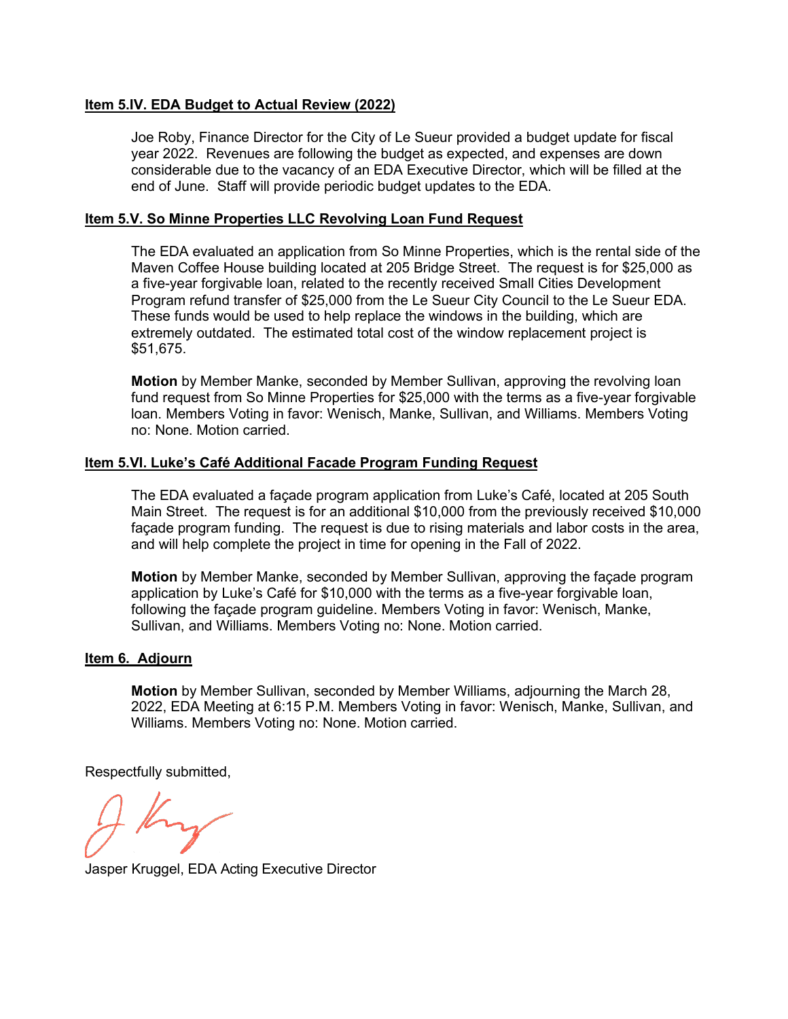## **Item 5.IV. EDA Budget to Actual Review (2022)**

Joe Roby, Finance Director for the City of Le Sueur provided a budget update for fiscal year 2022. Revenues are following the budget as expected, and expenses are down considerable due to the vacancy of an EDA Executive Director, which will be filled at the end of June. Staff will provide periodic budget updates to the EDA.

#### **Item 5.V. So Minne Properties LLC Revolving Loan Fund Request**

The EDA evaluated an application from So Minne Properties, which is the rental side of the Maven Coffee House building located at 205 Bridge Street. The request is for \$25,000 as a five-year forgivable loan, related to the recently received Small Cities Development Program refund transfer of \$25,000 from the Le Sueur City Council to the Le Sueur EDA. These funds would be used to help replace the windows in the building, which are extremely outdated. The estimated total cost of the window replacement project is \$51,675.

**Motion** by Member Manke, seconded by Member Sullivan, approving the revolving loan fund request from So Minne Properties for \$25,000 with the terms as a five-year forgivable loan. Members Voting in favor: Wenisch, Manke, Sullivan, and Williams. Members Voting no: None. Motion carried.

## **Item 5.VI. Luke's Café Additional Facade Program Funding Request**

The EDA evaluated a façade program application from Luke's Café, located at 205 South Main Street. The request is for an additional \$10,000 from the previously received \$10,000 façade program funding. The request is due to rising materials and labor costs in the area, and will help complete the project in time for opening in the Fall of 2022.

**Motion** by Member Manke, seconded by Member Sullivan, approving the façade program application by Luke's Café for \$10,000 with the terms as a five-year forgivable loan, following the façade program guideline. Members Voting in favor: Wenisch, Manke, Sullivan, and Williams. Members Voting no: None. Motion carried.

#### **Item 6. Adjourn**

**Motion** by Member Sullivan, seconded by Member Williams, adjourning the March 28, 2022, EDA Meeting at 6:15 P.M. Members Voting in favor: Wenisch, Manke, Sullivan, and Williams. Members Voting no: None. Motion carried.

Respectfully submitted,

Jasper Kruggel, EDA Acting Executive Director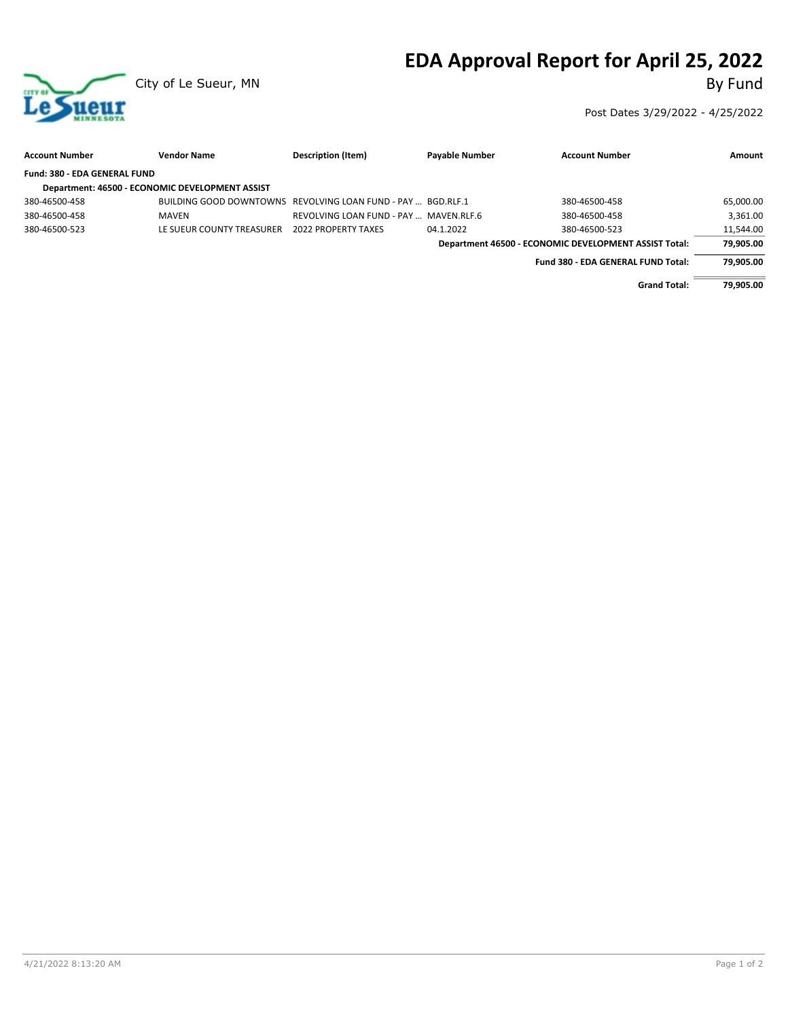# **EDA Approval Report for April 25, 2022**



Post Dates 3/29/2022 - 4/25/2022

| <b>Account Number</b>        | <b>Vendor Name</b>                              | Description (Item)                                           | <b>Payable Number</b> | <b>Account Number</b>                                 | Amount    |
|------------------------------|-------------------------------------------------|--------------------------------------------------------------|-----------------------|-------------------------------------------------------|-----------|
| Fund: 380 - EDA GENERAL FUND |                                                 |                                                              |                       |                                                       |           |
|                              | Department: 46500 - ECONOMIC DEVELOPMENT ASSIST |                                                              |                       |                                                       |           |
| 380-46500-458                |                                                 | BUILDING GOOD DOWNTOWNS REVOLVING LOAN FUND - PAY  BGD.RLF.1 |                       | 380-46500-458                                         | 65,000.00 |
| 380-46500-458                | <b>MAVEN</b>                                    | REVOLVING LOAN FUND - PAY  MAVEN.RLF.6                       |                       | 380-46500-458                                         | 3.361.00  |
| 380-46500-523                | LE SUEUR COUNTY TREASURER                       | <b>2022 PROPERTY TAXES</b>                                   | 04.1.2022             | 380-46500-523                                         | 11,544.00 |
|                              |                                                 |                                                              |                       | Department 46500 - ECONOMIC DEVELOPMENT ASSIST Total: | 79,905.00 |
|                              |                                                 |                                                              |                       | Fund 380 - EDA GENERAL FUND Total:                    | 79.905.00 |
|                              |                                                 |                                                              |                       | <b>Grand Total:</b>                                   | 79.905.00 |